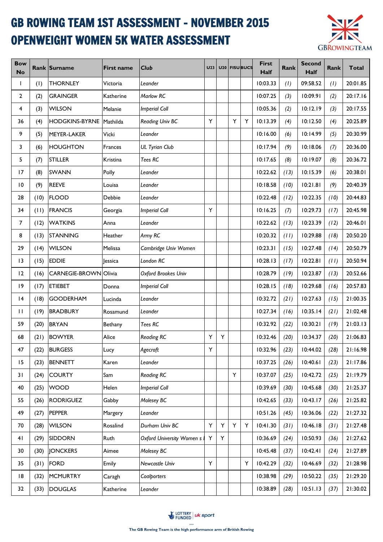## GB ROWING TEAM 1ST ASSESSMENT - NOVEMBER 2015 OPENWEIGHT WOMEN 5K WATER ASSESSMENT



| <b>Bow</b><br><b>No</b> |      | Rank Surname                 | <b>First name</b> | Club                             | <b>U23</b> |   |   | U <sub>20</sub> FISU BUCS | First<br>Half | Rank | <b>Second</b><br><b>Half</b> | <b>Rank</b> | <b>Total</b> |
|-------------------------|------|------------------------------|-------------------|----------------------------------|------------|---|---|---------------------------|---------------|------|------------------------------|-------------|--------------|
| $\mathbf{I}$            | (1)  | <b>THORNLEY</b>              | Victoria          | Leander                          |            |   |   |                           | 10:03.33      | (1)  | 09:58.52                     | (1)         | 20:01.85     |
| 2                       | (2)  | <b>GRAINGER</b>              | Katherine         | Marlow RC                        |            |   |   |                           | 10:07.25      | (3)  | 10:09.91                     | (2)         | 20:17.16     |
| 4                       | (3)  | <b>WILSON</b>                | Melanie           | <b>Imperial Coll</b>             |            |   |   |                           | 10:05.36      | (2)  | 10:12.19                     | (3)         | 20:17.55     |
| 36                      | (4)  | <b>HODGKINS-BYRNE</b>        | Mathilda          | <b>Reading Univ BC</b>           | Y          |   | Y | Y                         | 10:13.39      | (4)  | 10:12.50                     | (4)         | 20:25.89     |
| 9                       | (5)  | MEYER-LAKER                  | Vicki             | Leander                          |            |   |   |                           | 10:16.00      | (6)  | 10:14.99                     | (5)         | 20:30.99     |
| 3                       | (6)  | <b>HOUGHTON</b>              | Frances           | <b>UL Tyrian Club</b>            |            |   |   |                           | 10:17.94      | (9)  | 10:18.06                     | (7)         | 20:36.00     |
| 5                       | (7)  | <b>STILLER</b>               | Kristina          | Tees RC                          |            |   |   |                           | 10:17.65      | (8)  | 10:19.07                     | (8)         | 20:36.72     |
| 17                      | (8)  | <b>SWANN</b>                 | Polly             | Leander                          |            |   |   |                           | 10:22.62      | (13) | 10:15.39                     | (6)         | 20:38.01     |
| $\overline{10}$         | (9)  | <b>REEVE</b>                 | Louisa            | Leander                          |            |   |   |                           | 10:18.58      | (10) | 10:21.81                     | (9)         | 20:40.39     |
| 28                      | (10) | <b>FLOOD</b>                 | Debbie            | Leander                          |            |   |   |                           | 10:22.48      | (12) | 10:22.35                     | (10)        | 20:44.83     |
| 34                      | (11) | <b>FRANCIS</b>               | Georgia           | <b>Imperial Coll</b>             | Y          |   |   |                           | 10:16.25      | (7)  | 10:29.73                     | (17)        | 20:45.98     |
| 7                       | (12) | <b>WATKINS</b>               | Anna              | Leander                          |            |   |   |                           | 10:22.62      | (13) | 10:23.39                     | (12)        | 20:46.01     |
| 8                       | (13) | <b>STANNING</b>              | Heather           | Army RC                          |            |   |   |                           | 10:20.32      | (11) | 10:29.88                     | (18)        | 20:50.20     |
| 29                      | (14) | <b>WILSON</b>                | Melissa           | Cambridge Univ Women             |            |   |   |                           | 10:23.31      | (15) | 10:27.48                     | (14)        | 20:50.79     |
| 13                      | (15) | <b>EDDIE</b>                 | lessica           | London RC                        |            |   |   |                           | 10:28.13      | (17) | 10:22.81                     | (11)        | 20:50.94     |
| 12                      | (16) | <b>CARNEGIE-BROWN Olivia</b> |                   | Oxford Brookes Univ              |            |   |   |                           | 10:28.79      | (19) | 10:23.87                     | (13)        | 20:52.66     |
| 9                       | (17) | <b>ETIEBET</b>               | Donna             | <b>Imperial Coll</b>             |            |   |   |                           | 10:28.15      | (18) | 10:29.68                     | (16)        | 20:57.83     |
| 4                       | (18) | <b>GOODERHAM</b>             | Lucinda           | Leander                          |            |   |   |                           | 10:32.72      | (21) | 10:27.63                     | (15)        | 21:00.35     |
| $\mathbf{H}$            | (19) | <b>BRADBURY</b>              | Rosamund          | Leander                          |            |   |   |                           | 10:27.34      | (16) | 10:35.14                     | (21)        | 21:02.48     |
| 59                      | (20) | <b>BRYAN</b>                 | Bethany           | Tees RC                          |            |   |   |                           | 10:32.92      | (22) | 10:30.21                     | (19)        | 21:03.13     |
| 68                      | (21) | <b>BOWYER</b>                | Alice             | <b>Reading RC</b>                | Υ          | Y |   |                           | 10:32.46      | (20) | 10:34.37                     | (20)        | 21:06.83     |
| 47                      | (22) | <b>BURGESS</b>               | Lucy              | Agecroft                         | Υ          |   |   |                           | 10:32.96      | (23) | 10:44.02                     | (28)        | 21:16.98     |
| 15                      | (23) | <b>BENNETT</b>               | Karen             | Leander                          |            |   |   |                           | 10:37.25      | (26) | 10:40.61                     | (23)        | 21:17.86     |
| 31                      | (24) | <b>COURTY</b>                | Sam               | <b>Reading RC</b>                |            |   | Y |                           | 10:37.07      | (25) | 10:42.72                     | (25)        | 21:19.79     |
| 40                      | (25) | <b>WOOD</b>                  | Helen             | <b>Imperial Coll</b>             |            |   |   |                           | 10:39.69      | (30) | 10:45.68                     | (30)        | 21:25.37     |
| 55                      | (26) | <b>RODRIGUEZ</b>             | Gabby             | Molesey BC                       |            |   |   |                           | 10:42.65      | (33) | 10:43.17                     | (26)        | 21:25.82     |
| 49                      | (27) | <b>PEPPER</b>                | Margery           | Leander                          |            |   |   |                           | 10:51.26      | (45) | 10:36.06                     | (22)        | 21:27.32     |
| 70                      | (28) | <b>WILSON</b>                | Rosalind          | Durham Univ BC                   | Υ          | Υ | Y | Υ                         | 10:41.30      | (31) | 10:46.18                     | (31)        | 21:27.48     |
| 41                      | (29) | <b>SIDDORN</b>               | Ruth              | <b>Oxford University Women s</b> | Y          | Y |   |                           | 10:36.69      | (24) | 10:50.93                     | (36)        | 21:27.62     |
| 30                      | (30) | <b>JONCKERS</b>              | Aimee             | Molesey BC                       |            |   |   |                           | 10:45.48      | (37) | 10:42.41                     | (24)        | 21:27.89     |
| 35                      | (31) | <b>FORD</b>                  | Emily             | Newcastle Univ                   | Υ          |   |   | Υ                         | 10:42.29      | (32) | 10:46.69                     | (32)        | 21:28.98     |
| 18                      | (32) | <b>MCMURTRY</b>              | Caragh            | Coalporters                      |            |   |   |                           | 10:38.98      | (29) | 10:50.22                     | (35)        | 21:29.20     |
| 32                      | (33) | <b>DOUGLAS</b>               | Katherine         | Leander                          |            |   |   |                           | 10:38.89      | (28) | 10:51.13                     | (37)        | 21:30.02     |

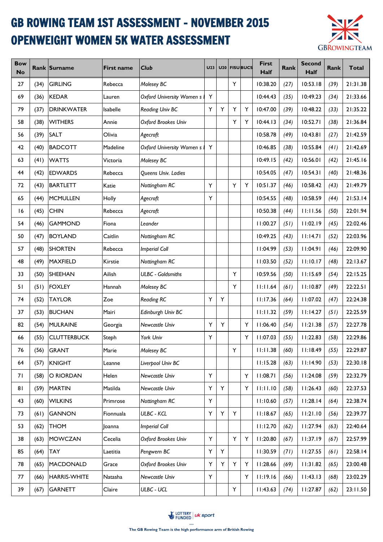## GB ROWING TEAM 1ST ASSESSMENT - NOVEMBER 2015 OPENWEIGHT WOMEN 5K WATER ASSESSMENT



| <b>Bow</b><br><b>No</b> |      | Rank Surname        | <b>First name</b> | Club                             | <b>U23</b> |   |   | U <sub>20</sub>   FISU BUCS | First<br><b>Half</b> | Rank | <b>Second</b><br><b>Half</b> | <b>Rank</b> | <b>Total</b> |
|-------------------------|------|---------------------|-------------------|----------------------------------|------------|---|---|-----------------------------|----------------------|------|------------------------------|-------------|--------------|
| 27                      | (34) | <b>GIRLING</b>      | Rebecca           | Molesey BC                       |            |   | Y |                             | 10:38.20             | (27) | 10:53.18                     | (39)        | 21:31.38     |
| 69                      | (36) | <b>KEDAR</b>        | Lauren            | <b>Oxford University Women s</b> | Υ          |   |   |                             | 10:44.43             | (35) | 10:49.23                     | (34)        | 21:33.66     |
| 79                      | (37) | <b>DRINKWATER</b>   | Isabelle          | <b>Reading Univ BC</b>           | Y          | Υ | Y | Y                           | 10:47.00             | (39) | 10:48.22                     | (33)        | 21:35.22     |
| 58                      | (38) | <b>WITHERS</b>      | Annie             | Oxford Brookes Univ              |            |   | Y | Y                           | 10:44.13             | (34) | 10:52.71                     | (38)        | 21:36.84     |
| 56                      | (39) | <b>SALT</b>         | Olivia            | Agecroft                         |            |   |   |                             | 10:58.78             | (49) | 10:43.81                     | (27)        | 21:42.59     |
| 42                      | (40) | <b>BADCOTT</b>      | Madeline          | <b>Oxford University Women s</b> | Y          |   |   |                             | 10:46.85             | (38) | 10:55.84                     | (41)        | 21:42.69     |
| 63                      | (41) | <b>WATTS</b>        | Victoria          | Molesey BC                       |            |   |   |                             | 10:49.15             | (42) | 10:56.01                     | (42)        | 21:45.16     |
| 44                      | (42) | <b>EDWARDS</b>      | Rebecca           | Queens Univ. Ladies              |            |   |   |                             | 10:54.05             | (47) | 10:54.31                     | (40)        | 21:48.36     |
| 72                      | (43) | <b>BARTLETT</b>     | Katie             | Nottingham RC                    | Υ          |   | Υ | Y                           | 10:51.37             | (46) | 10:58.42                     | (43)        | 21:49.79     |
| 65                      | (44) | <b>MCMULLEN</b>     | Holly             | Agecroft                         | Υ          |   |   |                             | 10:54.55             | (48) | 10:58.59                     | (44)        | 21:53.14     |
| 16                      | (45) | <b>CHIN</b>         | Rebecca           | Agecroft                         |            |   |   |                             | 10:50.38             | (44) | 11:11.56                     | (50)        | 22:01.94     |
| 54                      | (46) | <b>GAMMOND</b>      | Fiona             | Leander                          |            |   |   |                             | 11:00.27             | (51) | 11:02.19                     | (45)        | 22:02.46     |
| 50                      | (47) | <b>BOYLAND</b>      | Caitlin           | Nottingham RC                    |            |   |   |                             | 10:49.25             | (43) | 11:14.71                     | (52)        | 22:03.96     |
| 57                      | (48) | <b>SHORTEN</b>      | Rebecca           | <b>Imperial Coll</b>             |            |   |   |                             | 11:04.99             | (53) | 11:04.91                     | (46)        | 22:09.90     |
| 48                      | (49) | <b>MAXFIELD</b>     | Kirstie           | Nottingham RC                    |            |   |   |                             | 11:03.50             | (52) | 11:10.17                     | (48)        | 22:13.67     |
| 33                      | (50) | <b>SHEEHAN</b>      | Ailish            | <b>ULBC - Goldsmiths</b>         |            |   | Y |                             | 10:59.56             | (50) | 11:15.69                     | (54)        | 22:15.25     |
| 51                      | (51) | <b>FOXLEY</b>       | Hannah            | Molesey BC                       |            |   | Y |                             | 11:11.64             | (61) | 11:10.87                     | (49)        | 22:22.51     |
| 74                      | (52) | <b>TAYLOR</b>       | Zoe               | <b>Reading RC</b>                | Y          | Y |   |                             | 11:17.36             | (64) | 11:07.02                     | (47)        | 22:24.38     |
| 37                      | (53) | <b>BUCHAN</b>       | Mairi             | Edinburgh Univ BC                |            |   |   |                             | 11:11.32             | (59) | 11:14.27                     | (51)        | 22:25.59     |
| 82                      | (54) | <b>MULRAINE</b>     | Georgia           | Newcastle Univ                   | Y          | Υ |   | Y                           | 11:06.40             | (54) | 11:21.38                     | (57)        | 22:27.78     |
| 66                      | (55) | <b>CLUTTERBUCK</b>  | Steph             | York Univ                        | Y          |   |   | Y                           | 11:07.03             | (55) | 11:22.83                     | (58)        | 22:29.86     |
| 76                      | (56) | <b>GRANT</b>        | Marie             | Molesey BC                       |            |   | Y |                             | 11:11.38             | (60) | 11:18.49                     | (55)        | 22:29.87     |
| 64                      | (57) | <b>KNIGHT</b>       | Leanne            | Liverpool Univ BC                |            |   |   |                             | 11:15.28             | (63) | 11:14.90                     | (53)        | 22:30.18     |
| 71                      | (58) | O RIORDAN           | Helen             | <b>Newcastle Univ</b>            | Υ          |   |   | Y                           | 11:08.71             | (56) | 11:24.08                     | (59)        | 22:32.79     |
| 81                      | (59) | <b>MARTIN</b>       | Matilda           | Newcastle Univ                   | Y          | Y |   | Y                           | 11:11.10             | (58) | 11:26.43                     | (60)        | 22:37.53     |
| 43                      | (60) | <b>WILKINS</b>      | Primrose          | Nottingham RC                    | Y          |   |   |                             | 11:10.60             | (57) | 11:28.14                     | (64)        | 22:38.74     |
| 73                      | (61) | <b>GANNON</b>       | Fionnuala         | <b>ULBC - KCL</b>                | Υ          | Y | Y |                             | 11:18.67             | (65) | 11:21.10                     | (56)        | 22:39.77     |
| 53                      | (62) | <b>THOM</b>         | Joanna            | <b>Imperial Coll</b>             |            |   |   |                             | 11:12.70             | (62) | 11:27.94                     | (63)        | 22:40.64     |
| 38                      | (63) | <b>MOWCZAN</b>      | Cecelia           | Oxford Brookes Univ              | Y          |   | Y | Y                           | 11:20.80             | (67) | 11:37.19                     | (67)        | 22:57.99     |
| 85                      | (64) | <b>TAY</b>          | Laetitia          | Pengwern BC                      | Υ          | Y |   |                             | 11:30.59             | (71) | 11:27.55                     | (61)        | 22:58.14     |
| 78                      | (65) | MACDONALD           | Grace             | Oxford Brookes Univ              | Υ          | Y | Y | Υ                           | 11:28.66             | (69) | 11:31.82                     | (65)        | 23:00.48     |
| 77                      | (66) | <b>HARRIS-WHITE</b> | Natasha           | Newcastle Univ                   | Y          |   |   | Y                           | 11:19.16             | (66) | 11:43.13                     | (68)        | 23:02.29     |
| 39                      | (67) | GARNETT             | Claire            | ULBC - UCL                       |            |   | Y |                             | 11:43.63             | (74) | 11:27.87                     | (62)        | 23:11.50     |